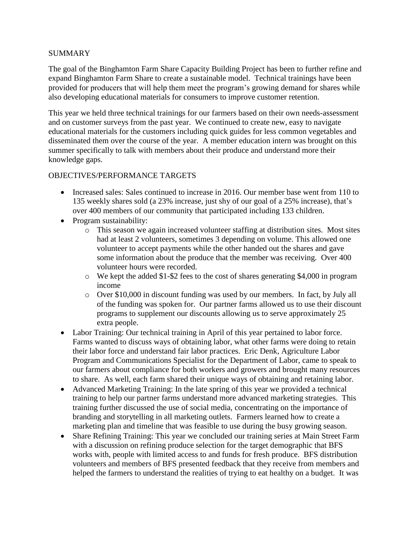#### SUMMARY

The goal of the Binghamton Farm Share Capacity Building Project has been to further refine and expand Binghamton Farm Share to create a sustainable model. Technical trainings have been provided for producers that will help them meet the program's growing demand for shares while also developing educational materials for consumers to improve customer retention.

This year we held three technical trainings for our farmers based on their own needs-assessment and on customer surveys from the past year. We continued to create new, easy to navigate educational materials for the customers including quick guides for less common vegetables and disseminated them over the course of the year. A member education intern was brought on this summer specifically to talk with members about their produce and understand more their knowledge gaps.

# OBJECTIVES/PERFORMANCE TARGETS

- Increased sales: Sales continued to increase in 2016. Our member base went from 110 to 135 weekly shares sold (a 23% increase, just shy of our goal of a 25% increase), that's over 400 members of our community that participated including 133 children.
- Program sustainability:
	- o This season we again increased volunteer staffing at distribution sites. Most sites had at least 2 volunteers, sometimes 3 depending on volume. This allowed one volunteer to accept payments while the other handed out the shares and gave some information about the produce that the member was receiving. Over 400 volunteer hours were recorded.
	- o We kept the added \$1-\$2 fees to the cost of shares generating \$4,000 in program income
	- o Over \$10,000 in discount funding was used by our members. In fact, by July all of the funding was spoken for. Our partner farms allowed us to use their discount programs to supplement our discounts allowing us to serve approximately 25 extra people.
- Labor Training: Our technical training in April of this year pertained to labor force. Farms wanted to discuss ways of obtaining labor, what other farms were doing to retain their labor force and understand fair labor practices. Eric Denk, Agriculture Labor Program and Communications Specialist for the Department of Labor, came to speak to our farmers about compliance for both workers and growers and brought many resources to share. As well, each farm shared their unique ways of obtaining and retaining labor.
- Advanced Marketing Training: In the late spring of this year we provided a technical training to help our partner farms understand more advanced marketing strategies. This training further discussed the use of social media, concentrating on the importance of branding and storytelling in all marketing outlets. Farmers learned how to create a marketing plan and timeline that was feasible to use during the busy growing season.
- Share Refining Training: This year we concluded our training series at Main Street Farm with a discussion on refining produce selection for the target demographic that BFS works with, people with limited access to and funds for fresh produce. BFS distribution volunteers and members of BFS presented feedback that they receive from members and helped the farmers to understand the realities of trying to eat healthy on a budget. It was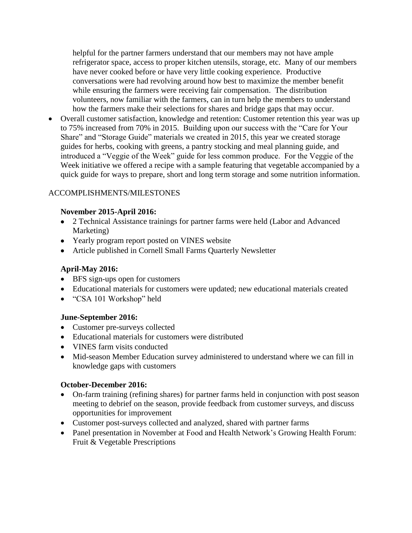helpful for the partner farmers understand that our members may not have ample refrigerator space, access to proper kitchen utensils, storage, etc. Many of our members have never cooked before or have very little cooking experience. Productive conversations were had revolving around how best to maximize the member benefit while ensuring the farmers were receiving fair compensation. The distribution volunteers, now familiar with the farmers, can in turn help the members to understand how the farmers make their selections for shares and bridge gaps that may occur.

 Overall customer satisfaction, knowledge and retention: Customer retention this year was up to 75% increased from 70% in 2015. Building upon our success with the "Care for Your Share" and "Storage Guide" materials we created in 2015, this year we created storage guides for herbs, cooking with greens, a pantry stocking and meal planning guide, and introduced a "Veggie of the Week" guide for less common produce. For the Veggie of the Week initiative we offered a recipe with a sample featuring that vegetable accompanied by a quick guide for ways to prepare, short and long term storage and some nutrition information.

## ACCOMPLISHMENTS/MILESTONES

## **November 2015-April 2016:**

- 2 Technical Assistance trainings for partner farms were held (Labor and Advanced Marketing)
- Yearly program report posted on VINES website
- Article published in Cornell Small Farms Quarterly Newsletter

## **April-May 2016:**

- BFS sign-ups open for customers
- Educational materials for customers were updated; new educational materials created
- "CSA 101 Workshop" held

## **June-September 2016:**

- Customer pre-surveys collected
- Educational materials for customers were distributed
- VINES farm visits conducted
- Mid-season Member Education survey administered to understand where we can fill in knowledge gaps with customers

## **October-December 2016:**

- On-farm training (refining shares) for partner farms held in conjunction with post season meeting to debrief on the season, provide feedback from customer surveys, and discuss opportunities for improvement
- Customer post-surveys collected and analyzed, shared with partner farms
- Panel presentation in November at Food and Health Network's Growing Health Forum: Fruit & Vegetable Prescriptions